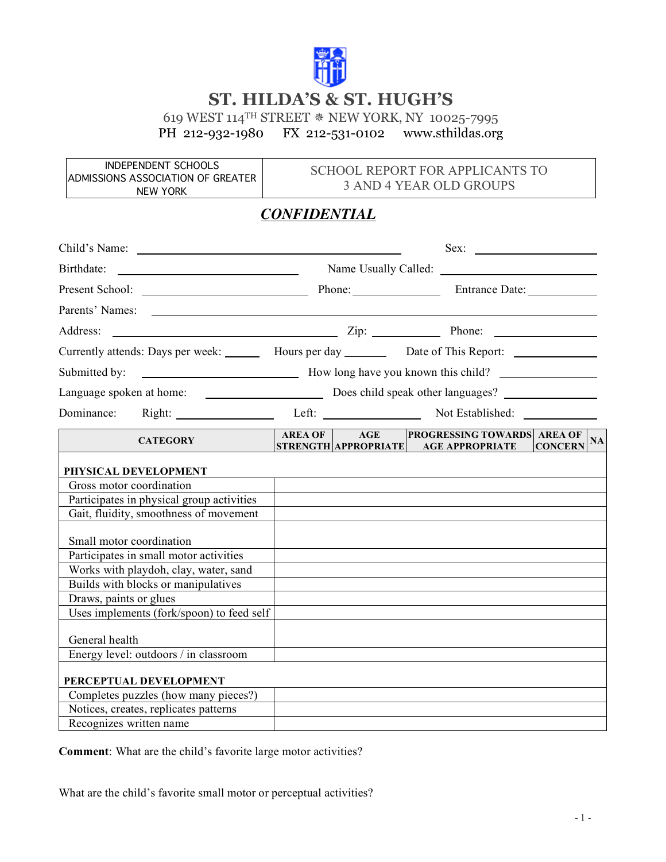

## **ST. HILDA'S & ST. HUGH'S**

619 WEST 114<sup>TH</sup> STREET \* NEW YORK, NY 10025-7995<br>PH 212-932-1980 FX 212-531-0102 www.sthildas.org PH 212-932-1980 FX 212-531-0102 www.sthildas.org

INDEPENDENT SCHOOLS ADMISSIONS ASSOCIATION OF GREATER NEW YORK

## SCHOOL REPORT FOR APPLICANTS TO 3 AND 4 YEAR OLD GROUPS

## *CONFIDENTIAL*

|                                                                                                                                    |                                     |  | Sex:                                                                    |                      |  |  |
|------------------------------------------------------------------------------------------------------------------------------------|-------------------------------------|--|-------------------------------------------------------------------------|----------------------|--|--|
| Birthdate:<br><u> Liste de la construcción de la construcción de la construcción de la construcción de la construcción de la c</u> |                                     |  |                                                                         |                      |  |  |
|                                                                                                                                    |                                     |  |                                                                         |                      |  |  |
|                                                                                                                                    |                                     |  |                                                                         |                      |  |  |
|                                                                                                                                    |                                     |  |                                                                         |                      |  |  |
| Address:                                                                                                                           |                                     |  |                                                                         |                      |  |  |
| Currently attends: Days per week: Hours per day Date of This Report:                                                               |                                     |  |                                                                         |                      |  |  |
| Submitted by:                                                                                                                      | How long have you known this child? |  |                                                                         |                      |  |  |
|                                                                                                                                    |                                     |  |                                                                         |                      |  |  |
| Dominance: Right: Left: Left: Not Established: Left:                                                                               |                                     |  |                                                                         |                      |  |  |
| <b>CATEGORY</b>                                                                                                                    | AREA OF                             |  | AGE PROGRESSING TOWARDS AREA OF<br>STRENGTH APPROPRIATE AGE APPROPRIATE | NA<br><b>CONCERN</b> |  |  |
| PHYSICAL DEVELOPMENT                                                                                                               |                                     |  |                                                                         |                      |  |  |
| Gross motor coordination                                                                                                           |                                     |  |                                                                         |                      |  |  |
| Participates in physical group activities                                                                                          |                                     |  |                                                                         |                      |  |  |
| Gait, fluidity, smoothness of movement                                                                                             |                                     |  |                                                                         |                      |  |  |
| Small motor coordination                                                                                                           |                                     |  |                                                                         |                      |  |  |
| Participates in small motor activities                                                                                             |                                     |  |                                                                         |                      |  |  |
| Works with playdoh, clay, water, sand                                                                                              |                                     |  |                                                                         |                      |  |  |
| Builds with blocks or manipulatives                                                                                                |                                     |  |                                                                         |                      |  |  |
| Draws, paints or glues                                                                                                             |                                     |  |                                                                         |                      |  |  |
| Uses implements (fork/spoon) to feed self                                                                                          |                                     |  |                                                                         |                      |  |  |
| General health                                                                                                                     |                                     |  |                                                                         |                      |  |  |
| Energy level: outdoors / in classroom                                                                                              |                                     |  |                                                                         |                      |  |  |
| PERCEPTUAL DEVELOPMENT                                                                                                             |                                     |  |                                                                         |                      |  |  |
| Completes puzzles (how many pieces?)                                                                                               |                                     |  |                                                                         |                      |  |  |
| Notices, creates, replicates patterns                                                                                              |                                     |  |                                                                         |                      |  |  |
| Recognizes written name                                                                                                            |                                     |  |                                                                         |                      |  |  |

**Comment**: What are the child's favorite large motor activities?

What are the child's favorite small motor or perceptual activities?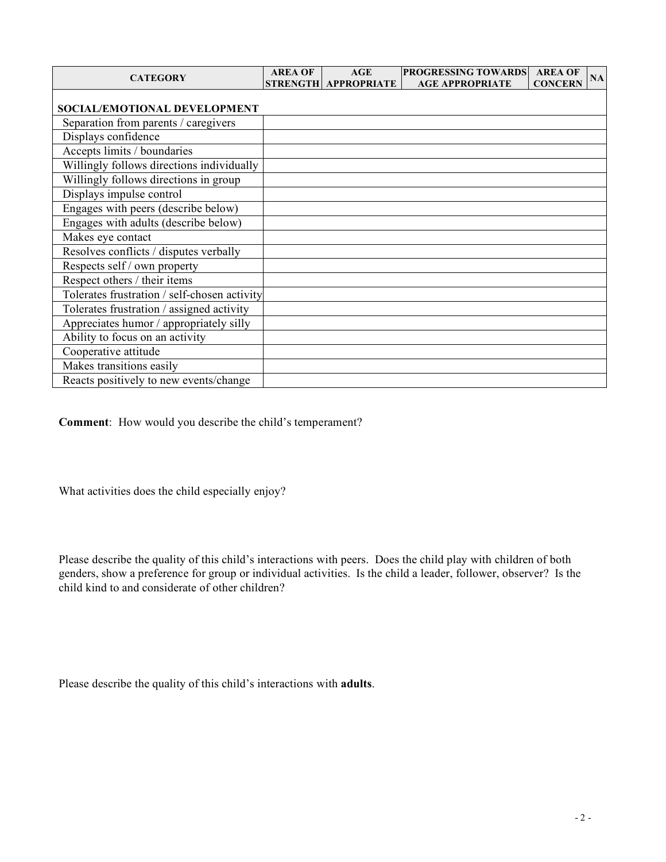| <b>CATEGORY</b>                              | <b>AREA OF</b> | AGE<br>STRENGTH APPROPRIATE | <b>PROGRESSING TOWARDS</b><br><b>AGE APPROPRIATE</b> | <b>AREA OF</b><br><b>CONCERN</b> | NA |
|----------------------------------------------|----------------|-----------------------------|------------------------------------------------------|----------------------------------|----|
| SOCIAL/EMOTIONAL DEVELOPMENT                 |                |                             |                                                      |                                  |    |
| Separation from parents / caregivers         |                |                             |                                                      |                                  |    |
| Displays confidence                          |                |                             |                                                      |                                  |    |
| Accepts limits / boundaries                  |                |                             |                                                      |                                  |    |
| Willingly follows directions individually    |                |                             |                                                      |                                  |    |
| Willingly follows directions in group        |                |                             |                                                      |                                  |    |
| Displays impulse control                     |                |                             |                                                      |                                  |    |
| Engages with peers (describe below)          |                |                             |                                                      |                                  |    |
| Engages with adults (describe below)         |                |                             |                                                      |                                  |    |
| Makes eye contact                            |                |                             |                                                      |                                  |    |
| Resolves conflicts / disputes verbally       |                |                             |                                                      |                                  |    |
| Respects self / own property                 |                |                             |                                                      |                                  |    |
| Respect others / their items                 |                |                             |                                                      |                                  |    |
| Tolerates frustration / self-chosen activity |                |                             |                                                      |                                  |    |
| Tolerates frustration / assigned activity    |                |                             |                                                      |                                  |    |
| Appreciates humor / appropriately silly      |                |                             |                                                      |                                  |    |
| Ability to focus on an activity              |                |                             |                                                      |                                  |    |
| Cooperative attitude                         |                |                             |                                                      |                                  |    |
| Makes transitions easily                     |                |                             |                                                      |                                  |    |
| Reacts positively to new events/change       |                |                             |                                                      |                                  |    |

**Comment**: How would you describe the child's temperament?

What activities does the child especially enjoy?

Please describe the quality of this child's interactions with peers. Does the child play with children of both genders, show a preference for group or individual activities. Is the child a leader, follower, observer? Is the child kind to and considerate of other children?

Please describe the quality of this child's interactions with **adults**.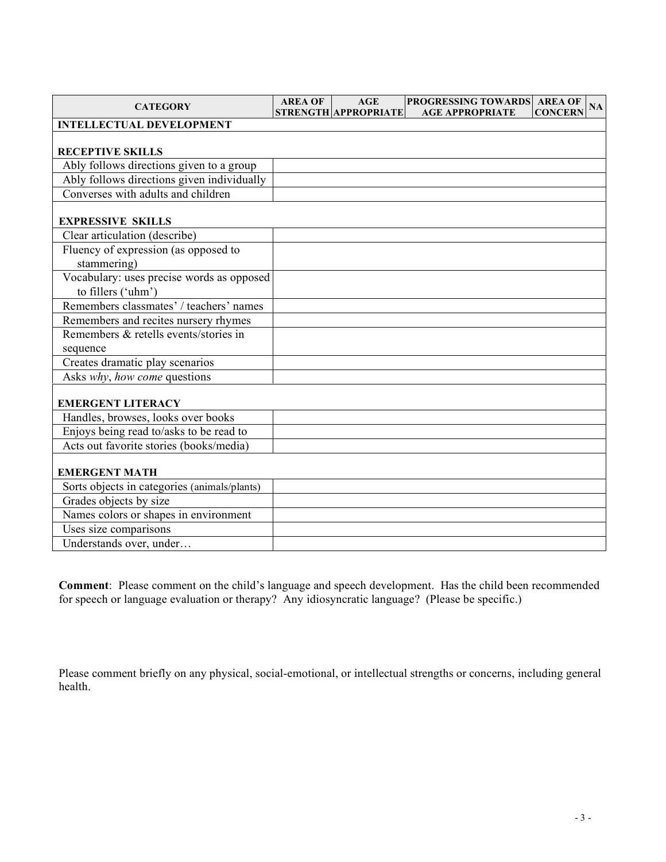| <b>CATEGORY</b>                              | <b>AREA OF</b> | <b>AGE</b>           | PROGRESSING TOWARDS AREA OF | <b>NA</b>      |
|----------------------------------------------|----------------|----------------------|-----------------------------|----------------|
| <b>INTELLECTUAL DEVELOPMENT</b>              |                | STRENGTH APPROPRIATE | <b>AGE APPROPRIATE</b>      | <b>CONCERN</b> |
|                                              |                |                      |                             |                |
| <b>RECEPTIVE SKILLS</b>                      |                |                      |                             |                |
| Ably follows directions given to a group     |                |                      |                             |                |
| Ably follows directions given individually   |                |                      |                             |                |
| Converses with adults and children           |                |                      |                             |                |
|                                              |                |                      |                             |                |
| <b>EXPRESSIVE SKILLS</b>                     |                |                      |                             |                |
| Clear articulation (describe)                |                |                      |                             |                |
| Fluency of expression (as opposed to         |                |                      |                             |                |
| stammering)                                  |                |                      |                             |                |
| Vocabulary: uses precise words as opposed    |                |                      |                             |                |
| to fillers ('uhm')                           |                |                      |                             |                |
| Remembers classmates' / teachers' names      |                |                      |                             |                |
| Remembers and recites nursery rhymes         |                |                      |                             |                |
| Remembers & retells events/stories in        |                |                      |                             |                |
| sequence                                     |                |                      |                             |                |
| Creates dramatic play scenarios              |                |                      |                             |                |
| Asks why, how come questions                 |                |                      |                             |                |
|                                              |                |                      |                             |                |
| <b>EMERGENT LITERACY</b>                     |                |                      |                             |                |
| Handles, browses, looks over books           |                |                      |                             |                |
| Enjoys being read to/asks to be read to      |                |                      |                             |                |
| Acts out favorite stories (books/media)      |                |                      |                             |                |
| <b>EMERGENT MATH</b>                         |                |                      |                             |                |
| Sorts objects in categories (animals/plants) |                |                      |                             |                |
| Grades objects by size                       |                |                      |                             |                |
| Names colors or shapes in environment        |                |                      |                             |                |
| Uses size comparisons                        |                |                      |                             |                |
| Understands over, under                      |                |                      |                             |                |

**Comment**: Please comment on the child's language and speech development. Has the child been recommended for speech or language evaluation or therapy? Any idiosyncratic language? (Please be specific.)

Please comment briefly on any physical, social-emotional, or intellectual strengths or concerns, including general health.